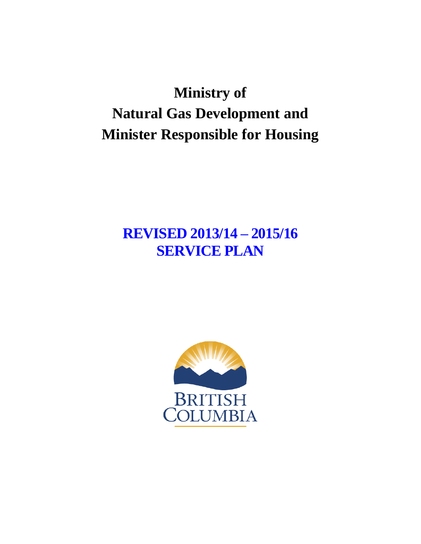# **Ministry of Natural Gas Development and Minister Responsible for Housing**

# **REVISED 2013/14 – 2015/16 SERVICE PLAN**

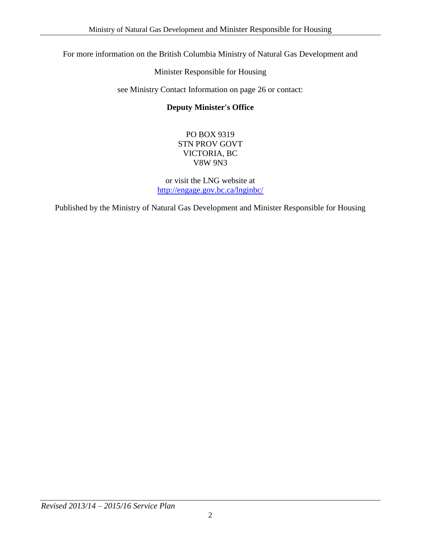For more information on the British Columbia Ministry of Natural Gas Development and

Minister Responsible for Housing

see Ministry Contact Information on page 26 or contact:

#### **Deputy Minister's Office**

#### PO BOX 9319 STN PROV GOVT VICTORIA, BC V8W 9N3

or visit the LNG website at <http://engage.gov.bc.ca/lnginbc/>

Published by the Ministry of Natural Gas Development and Minister Responsible for Housing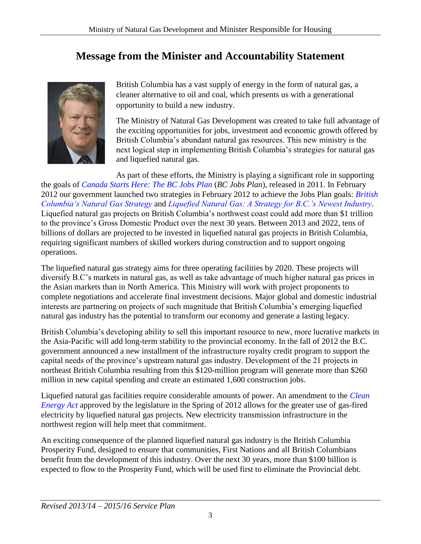## **Message from the Minister and Accountability Statement**

<span id="page-2-0"></span>

British Columbia has a vast supply of energy in the form of natural gas, a cleaner alternative to oil and coal, which presents us with a generational opportunity to build a new industry.

The Ministry of Natural Gas Development was created to take full advantage of the exciting opportunities for jobs, investment and economic growth offered by British Columbia's abundant natural gas resources. This new ministry is the next logical step in implementing British Columbia's strategies for natural gas and liquefied natural gas.

As part of these efforts, the Ministry is playing a significant role in supporting the goals of *[Canada Starts Here: The BC Jobs Plan](http://www.bcjobsplan.ca/http:/www.bcjobsplan.ca/)* (*BC Jobs Plan*), released in 2011. In February 2012 our government launched two strategies in February 2012 to achieve the Jobs Plan goals: *[British](http://www.gov.bc.ca/ener/popt/down/natural_gas_strategy.pdf)  [Columbia's Natural Gas Strategy](http://www.gov.bc.ca/ener/popt/down/natural_gas_strategy.pdf)* and *[Liquefied Natural Gas: A Strategy for B.C.'s Newest Industry](http://www.gov.bc.ca/ener/popt/down/liquefied_natural_gas_strategy.pdf)*. Liquefied natural gas projects on British Columbia's northwest coast could add more than \$1 trillion to the province's Gross Domestic Product over the next 30 years. Between 2013 and 2022, tens of billions of dollars are projected to be invested in liquefied natural gas projects in British Columbia, requiring significant numbers of skilled workers during construction and to support ongoing operations.

The liquefied natural gas strategy aims for three operating facilities by 2020. These projects will diversify B.C's markets in natural gas, as well as take advantage of much higher natural gas prices in the Asian markets than in North America. This Ministry will work with project proponents to complete negotiations and accelerate final investment decisions. Major global and domestic industrial interests are partnering on projects of such magnitude that British Columbia's emerging liquefied natural gas industry has the potential to transform our economy and generate a lasting legacy.

British Columbia's developing ability to sell this important resource to new, more lucrative markets in the Asia-Pacific will add long-term stability to the provincial economy. In the fall of 2012 the B.C. government announced a new installment of the infrastructure royalty credit program to support the capital needs of the province's upstream natural gas industry. Development of the 21 projects in northeast British Columbia resulting from this \$120-million program will generate more than \$260 million in new capital spending and create an estimated 1,600 construction jobs.

Liquefied natural gas facilities require considerable amounts of power. An amendment to the *[Clean](http://www.bclaws.ca/EPLibraries/bclaws_new/document/ID/freeside/00_10022_01)  [Energy Act](http://www.bclaws.ca/EPLibraries/bclaws_new/document/ID/freeside/00_10022_01)* approved by the legislature in the Spring of 2012 allows for the greater use of gas-fired electricity by liquefied natural gas projects. New electricity transmission infrastructure in the northwest region will help meet that commitment.

An exciting consequence of the planned liquefied natural gas industry is the British Columbia Prosperity Fund, designed to ensure that communities, First Nations and all British Columbians benefit from the development of this industry. Over the next 30 years, more than \$100 billion is expected to flow to the Prosperity Fund, which will be used first to eliminate the Provincial debt.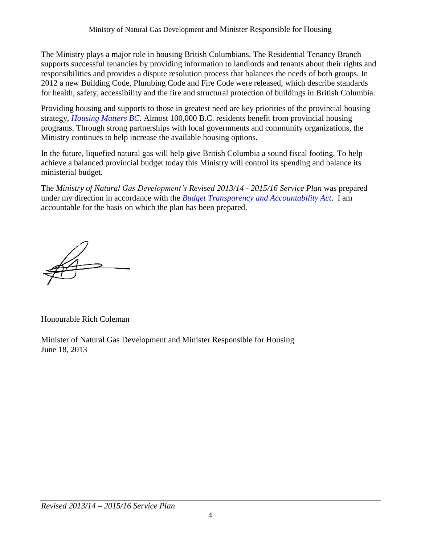The Ministry plays a major role in housing British Columbians. The Residential Tenancy Branch supports successful tenancies by providing information to landlords and tenants about their rights and responsibilities and provides a dispute resolution process that balances the needs of both groups. In 2012 a new Building Code, Plumbing Code and Fire Code were released, which describe standards for health, safety, accessibility and the fire and structural protection of buildings in British Columbia.

Providing housing and supports to those in greatest need are key priorities of the provincial housing strategy, *[Housing Matters BC.](http://www.bchousing.org/resources/About%20BC%20Housing/Housing_Matters_BC/Housing_Matters_BC_FINAL.pdfhttp:/www.bchousing.org/resources/About%20BC%20Housing/Housing_Matters_BC/Housing_Matters_BC_FINAL.pdf)* Almost 100,000 B.C. residents benefit from provincial housing programs. Through strong partnerships with local governments and community organizations, the Ministry continues to help increase the available housing options.

In the future, liquefied natural gas will help give British Columbia a sound fiscal footing. To help achieve a balanced provincial budget today this Ministry will control its spending and balance its ministerial budget.

The *Ministry of Natural Gas Development's Revised 2013/14 - 2015/16 Service Plan* was prepared under my direction in accordance with the *[Budget Transparency and Accountability Act](http://www.bclaws.ca/EPLibraries/bclaws_new/document/ID/freeside/00_00023_01http:/www.bclaws.ca/EPLibraries/bclaws_new/document/ID/freeside/00_00023_01)*. I am accountable for the basis on which the plan has been prepared.

Honourable Rich Coleman

Minister of Natural Gas Development and Minister Responsible for Housing June 18, 2013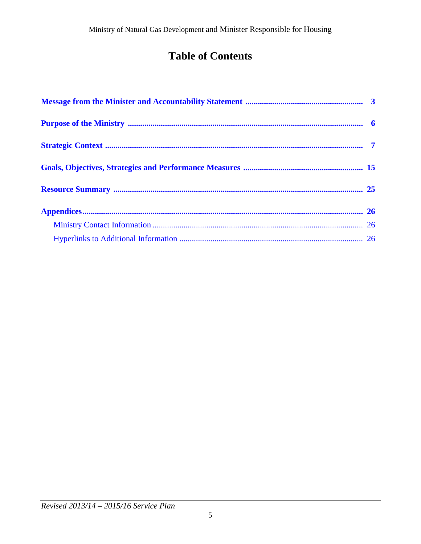# **Table of Contents**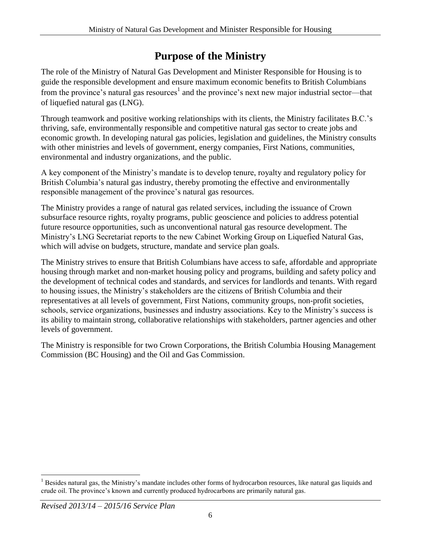## **Purpose of the Ministry**

<span id="page-5-0"></span>The role of the Ministry of Natural Gas Development and Minister Responsible for Housing is to guide the responsible development and ensure maximum economic benefits to British Columbians from the province's natural gas resources<sup>1</sup> and the province's next new major industrial sector—that of liquefied natural gas (LNG).

Through teamwork and positive working relationships with its clients, the Ministry facilitates B.C.'s thriving, safe, environmentally responsible and competitive natural gas sector to create jobs and economic growth. In developing natural gas policies, legislation and guidelines, the Ministry consults with other ministries and levels of government, energy companies, First Nations, communities, environmental and industry organizations, and the public.

A key component of the Ministry's mandate is to develop tenure, royalty and regulatory policy for British Columbia's natural gas industry, thereby promoting the effective and environmentally responsible management of the province's natural gas resources.

The Ministry provides a range of natural gas related services, including the issuance of Crown subsurface resource rights, royalty programs, public geoscience and policies to address potential future resource opportunities, such as unconventional natural gas resource development. The Ministry's LNG Secretariat reports to the new Cabinet Working Group on Liquefied Natural Gas, which will advise on budgets, structure, mandate and service plan goals.

The Ministry strives to ensure that British Columbians have access to safe, affordable and appropriate housing through market and non-market housing policy and programs, building and safety policy and the development of technical codes and standards, and services for landlords and tenants. With regard to housing issues, the Ministry's stakeholders are the citizens of British Columbia and their representatives at all levels of government, First Nations, community groups, non-profit societies, schools, service organizations, businesses and industry associations. Key to the Ministry's success is its ability to maintain strong, collaborative relationships with stakeholders, partner agencies and other levels of government.

The Ministry is responsible for two Crown Corporations, the British Columbia Housing Management Commission (BC Housing) and the Oil and Gas Commission.

 $\overline{a}$ <sup>1</sup> Besides natural gas, the Ministry's mandate includes other forms of hydrocarbon resources, like natural gas liquids and crude oil. The province's known and currently produced hydrocarbons are primarily natural gas.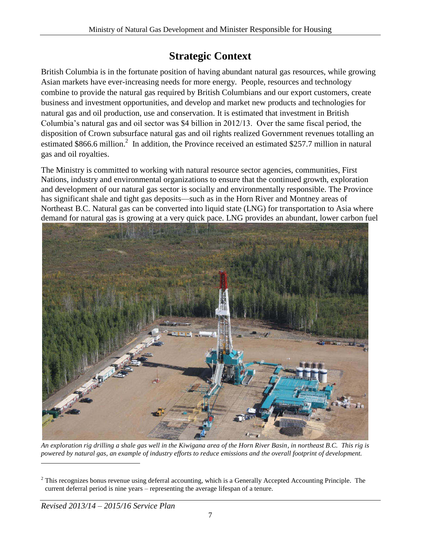## **Strategic Context**

<span id="page-6-0"></span>British Columbia is in the fortunate position of having abundant natural gas resources, while growing Asian markets have ever-increasing needs for more energy. People, resources and technology combine to provide the natural gas required by British Columbians and our export customers, create business and investment opportunities, and develop and market new products and technologies for natural gas and oil production, use and conservation. It is estimated that investment in British Columbia's natural gas and oil sector was \$4 billion in 2012/13. Over the same fiscal period, the disposition of Crown subsurface natural gas and oil rights realized Government revenues totalling an estimated \$866.6 million.<sup>2</sup> In addition, the Province received an estimated \$257.7 million in natural gas and oil royalties.

The Ministry is committed to working with natural resource sector agencies, communities, First Nations, industry and environmental organizations to ensure that the continued growth, exploration and development of our natural gas sector is socially and environmentally responsible. The Province has significant shale and tight gas deposits—such as in the Horn River and Montney areas of Northeast B.C. Natural gas can be converted into liquid state (LNG) for transportation to Asia where demand for natural gas is growing at a very quick pace. LNG provides an abundant, lower carbon fuel



*An exploration rig drilling a shale gas well in the Kiwigana area of the Horn River Basin, in northeast B.C. This rig is powered by natural gas, an example of industry efforts to reduce emissions and the overall footprint of development.* 

 $\overline{a}$ 

 $2$  This recognizes bonus revenue using deferral accounting, which is a Generally Accepted Accounting Principle. The current deferral period is nine years – representing the average lifespan of a tenure.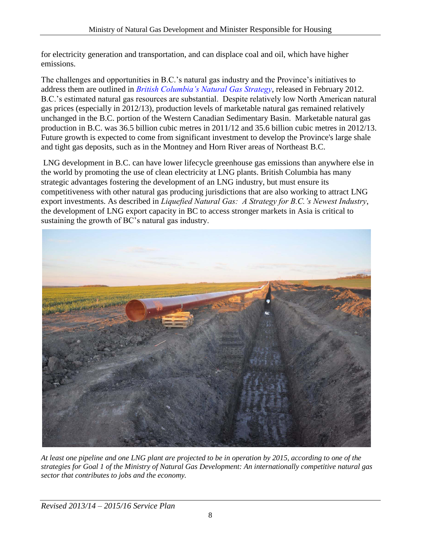for electricity generation and transportation, and can displace coal and oil, which have higher emissions.

The challenges and opportunities in B.C.'s natural gas industry and the Province's initiatives to address them are outlined in *[British Columbia's Natural Gas Strategy](http://www.gov.bc.ca/ener/popt/down/natural_gas_strategy.pdf)*, released in February 2012. B.C.'s estimated natural gas resources are substantial. Despite relatively low North American natural gas prices (especially in 2012/13), production levels of marketable natural gas remained relatively unchanged in the B.C. portion of the Western Canadian Sedimentary Basin. Marketable natural gas production in B.C. was 36.5 billion cubic metres in 2011/12 and 35.6 billion cubic metres in 2012/13. Future growth is expected to come from significant investment to develop the Province's large shale and tight gas deposits, such as in the Montney and Horn River areas of Northeast B.C.

 LNG development in B.C. can have lower lifecycle greenhouse gas emissions than anywhere else in the world by promoting the use of clean electricity at LNG plants. British Columbia has many strategic advantages fostering the development of an LNG industry, but must ensure its competitiveness with other natural gas producing jurisdictions that are also working to attract LNG export investments. As described in *Liquefied Natural Gas: A Strategy for B.C.'s Newest Industry*, the development of LNG export capacity in BC to access stronger markets in Asia is critical to sustaining the growth of BC's natural gas industry.



*At least one pipeline and one LNG plant are projected to be in operation by 2015, according to one of the strategies for Goal 1 of the Ministry of Natural Gas Development: An internationally competitive natural gas sector that contributes to jobs and the economy.*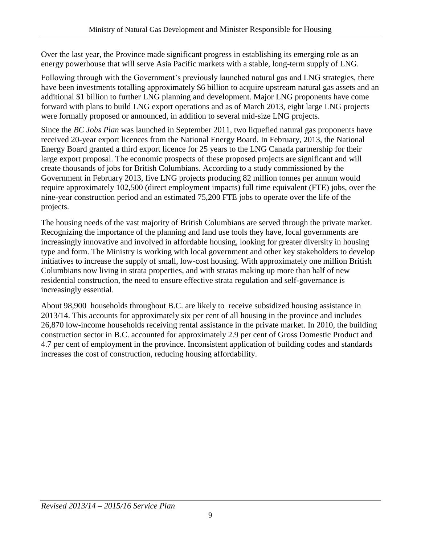Over the last year, the Province made significant progress in establishing its emerging role as an energy powerhouse that will serve Asia Pacific markets with a stable, long-term supply of LNG.

Following through with the Government's previously launched natural gas and LNG strategies, there have been investments totalling approximately \$6 billion to acquire upstream natural gas assets and an additional \$1 billion to further LNG planning and development. Major LNG proponents have come forward with plans to build LNG export operations and as of March 2013, eight large LNG projects were formally proposed or announced, in addition to several mid-size LNG projects.

Since the *BC Jobs Plan* was launched in September 2011, two liquefied natural gas proponents have received 20-year export licences from the National Energy Board. In February, 2013, the National Energy Board granted a third export licence for 25 years to the LNG Canada partnership for their large export proposal. The economic prospects of these proposed projects are significant and will create thousands of jobs for British Columbians. According to a study commissioned by the Government in February 2013, five LNG projects producing 82 million tonnes per annum would require approximately 102,500 (direct employment impacts) full time equivalent (FTE) jobs, over the nine-year construction period and an estimated 75,200 FTE jobs to operate over the life of the projects.

The housing needs of the vast majority of British Columbians are served through the private market. Recognizing the importance of the planning and land use tools they have, local governments are increasingly innovative and involved in affordable housing, looking for greater diversity in housing type and form. The Ministry is working with local government and other key stakeholders to develop initiatives to increase the supply of small, low-cost housing. With approximately one million British Columbians now living in strata properties, and with stratas making up more than half of new residential construction, the need to ensure effective strata regulation and self-governance is increasingly essential.

About 98,900 households throughout B.C. are likely to receive subsidized housing assistance in 2013/14. This accounts for approximately six per cent of all housing in the province and includes 26,870 low-income households receiving rental assistance in the private market. In 2010, the building construction sector in B.C. accounted for approximately 2.9 per cent of Gross Domestic Product and 4.7 per cent of employment in the province. Inconsistent application of building codes and standards increases the cost of construction, reducing housing affordability.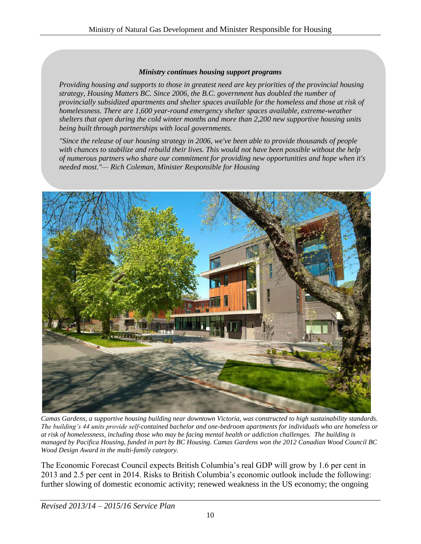#### *Ministry continues housing support programs*

*Providing housing and supports to those in greatest need are key priorities of the provincial housing strategy, Housing Matters BC. Since 2006, the B.C. government has doubled the number of provincially subsidized apartments and shelter spaces available for the homeless and those at risk of homelessness. There are 1,600 year-round emergency shelter spaces available, extreme-weather shelters that open during the cold winter months and more than 2,200 new supportive housing units being built through partnerships with local governments.*

*"Since the release of our housing strategy in 2006, we've been able to provide thousands of people with chances to stabilize and rebuild their lives. This would not have been possible without the help of numerous partners who share our commitment for providing new opportunities and hope when it's needed most."— Rich Coleman, Minister Responsible for Housing*



*Camas Gardens, a supportive housing building near downtown Victoria, was constructed to high sustainability standards. The building's 44 units provide self-contained bachelor and one-bedroom apartments for individuals who are homeless or at risk of homelessness, including those who may be facing mental health or addiction challenges. The building is managed by Pacifica Housing, funded in part by BC Housing. Camas Gardens won the 2012 Canadian Wood Council BC Wood Design Award in the multi-family category.* 

The Economic Forecast Council expects British Columbia's real GDP will grow by 1.6 per cent in 2013 and 2.5 per cent in 2014. Risks to British Columbia's economic outlook include the following: further slowing of domestic economic activity; renewed weakness in the US economy; the ongoing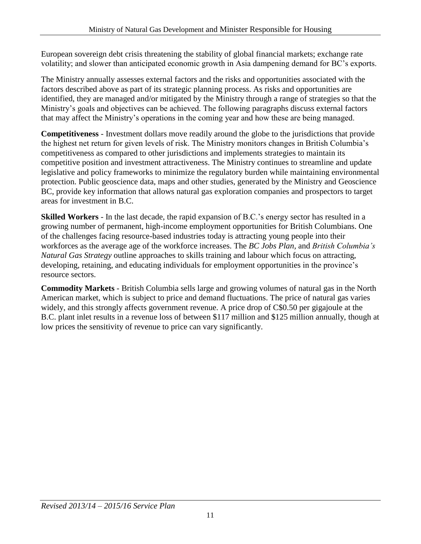European sovereign debt crisis threatening the stability of global financial markets; exchange rate volatility; and slower than anticipated economic growth in Asia dampening demand for BC's exports.

The Ministry annually assesses external factors and the risks and opportunities associated with the factors described above as part of its strategic planning process. As risks and opportunities are identified, they are managed and/or mitigated by the Ministry through a range of strategies so that the Ministry's goals and objectives can be achieved. The following paragraphs discuss external factors that may affect the Ministry's operations in the coming year and how these are being managed.

**Competitiveness** - Investment dollars move readily around the globe to the jurisdictions that provide the highest net return for given levels of risk. The Ministry monitors changes in British Columbia's competitiveness as compared to other jurisdictions and implements strategies to maintain its competitive position and investment attractiveness. The Ministry continues to streamline and update legislative and policy frameworks to minimize the regulatory burden while maintaining environmental protection. Public geoscience data, maps and other studies, generated by the Ministry and Geoscience BC, provide key information that allows natural gas exploration companies and prospectors to target areas for investment in B.C.

**Skilled Workers** - In the last decade, the rapid expansion of B.C.'s energy sector has resulted in a growing number of permanent, high-income employment opportunities for British Columbians. One of the challenges facing resource-based industries today is attracting young people into their workforces as the average age of the workforce increases. The *BC Jobs Plan,* and *British Columbia's Natural Gas Strategy* outline approaches to skills training and labour which focus on attracting, developing, retaining, and educating individuals for employment opportunities in the province's resource sectors.

**Commodity Markets** - British Columbia sells large and growing volumes of natural gas in the North American market, which is subject to price and demand fluctuations. The price of natural gas varies widely, and this strongly affects government revenue. A price drop of C\$0.50 per gigajoule at the B.C. plant inlet results in a revenue loss of between \$117 million and \$125 million annually, though at low prices the sensitivity of revenue to price can vary significantly.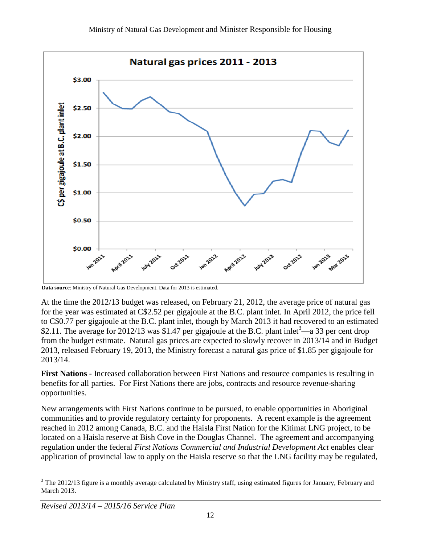

**Data source**: Ministry of Natural Gas Development. Data for 2013 is estimated.

At the time the 2012/13 budget was released, on February 21, 2012, the average price of natural gas for the year was estimated at C\$2.52 per gigajoule at the B.C. plant inlet. In April 2012, the price fell to C\$0.77 per gigajoule at the B.C. plant inlet, though by March 2013 it had recovered to an estimated \$2.11. The average for 2012/13 was \$1.47 per gigajoule at the B.C. plant inlet<sup>3</sup>—a 33 per cent drop from the budget estimate. Natural gas prices are expected to slowly recover in 2013/14 and in Budget 2013, released February 19, 2013, the Ministry forecast a natural gas price of \$1.85 per gigajoule for 2013/14.

**First Nations** - Increased collaboration between First Nations and resource companies is resulting in benefits for all parties. For First Nations there are jobs, contracts and resource revenue-sharing opportunities.

New arrangements with First Nations continue to be pursued, to enable opportunities in Aboriginal communities and to provide regulatory certainty for proponents. A recent example is the agreement reached in 2012 among Canada, B.C. and the Haisla First Nation for the Kitimat LNG project, to be located on a Haisla reserve at Bish Cove in the Douglas Channel. The agreement and accompanying regulation under the federal *First Nations Commercial and Industrial Development Act* enables clear application of provincial law to apply on the Haisla reserve so that the LNG facility may be regulated,

 $\overline{a}$ <sup>3</sup> The 2012/13 figure is a monthly average calculated by Ministry staff, using estimated figures for January, February and March 2013.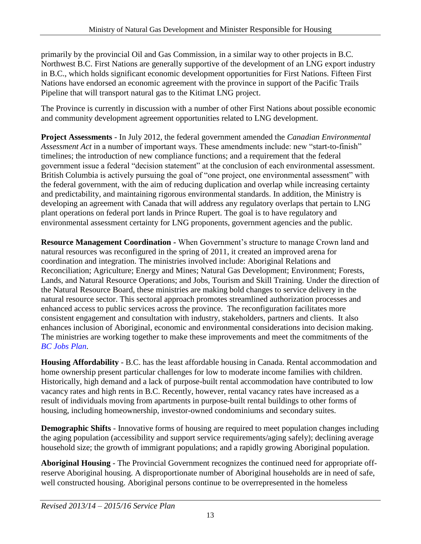primarily by the provincial Oil and Gas Commission, in a similar way to other projects in B.C. Northwest B.C. First Nations are generally supportive of the development of an LNG export industry in B.C., which holds significant economic development opportunities for First Nations. Fifteen First Nations have endorsed an economic agreement with the province in support of the Pacific Trails Pipeline that will transport natural gas to the Kitimat LNG project.

The Province is currently in discussion with a number of other First Nations about possible economic and community development agreement opportunities related to LNG development.

**Project Assessments** - In July 2012, the federal government amended the *Canadian Environmental Assessment Act* in a number of important ways. These amendments include: new "start-to-finish" timelines; the introduction of new compliance functions; and a requirement that the federal government issue a federal "decision statement" at the conclusion of each environmental assessment. British Columbia is actively pursuing the goal of "one project, one environmental assessment" with the federal government, with the aim of reducing duplication and overlap while increasing certainty and predictability, and maintaining rigorous environmental standards. In addition, the Ministry is developing an agreement with Canada that will address any regulatory overlaps that pertain to LNG plant operations on federal port lands in Prince Rupert. The goal is to have regulatory and environmental assessment certainty for LNG proponents, government agencies and the public.

**Resource Management Coordination -** When Government's structure to manage Crown land and natural resources was reconfigured in the spring of 2011, it created an improved arena for coordination and integration. The ministries involved include: Aboriginal Relations and Reconciliation; Agriculture; Energy and Mines; Natural Gas Development; Environment; Forests, Lands, and Natural Resource Operations; and Jobs, Tourism and Skill Training. Under the direction of the Natural Resource Board, these ministries are making bold changes to service delivery in the natural resource sector. This sectoral approach promotes streamlined authorization processes and enhanced access to public services across the province. The reconfiguration facilitates more consistent engagement and consultation with industry, stakeholders, partners and clients. It also enhances inclusion of Aboriginal, economic and environmental considerations into decision making. The ministries are working together to make these improvements and meet the commitments of the *[BC Jobs Plan](http://www.bcjobsplan.ca/)*.

**Housing Affordability** - B.C. has the least affordable housing in Canada. Rental accommodation and home ownership present particular challenges for low to moderate income families with children. Historically, high demand and a lack of purpose-built rental accommodation have contributed to low vacancy rates and high rents in B.C. Recently, however, rental vacancy rates have increased as a result of individuals moving from apartments in purpose-built rental buildings to other forms of housing, including homeownership, investor-owned condominiums and secondary suites.

**Demographic Shifts** - Innovative forms of housing are required to meet population changes including the aging population (accessibility and support service requirements/aging safely); declining average household size; the growth of immigrant populations; and a rapidly growing Aboriginal population.

**Aboriginal Housing** - The Provincial Government recognizes the continued need for appropriate offreserve Aboriginal housing. A disproportionate number of Aboriginal households are in need of safe, well constructed housing. Aboriginal persons continue to be overrepresented in the homeless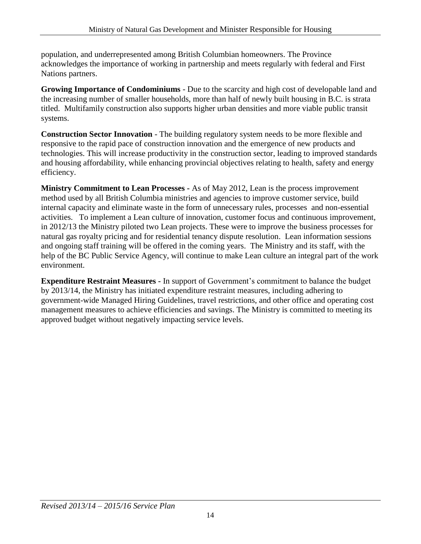population, and underrepresented among British Columbian homeowners. The Province acknowledges the importance of working in partnership and meets regularly with federal and First Nations partners.

**Growing Importance of Condominiums** - Due to the scarcity and high cost of developable land and the increasing number of smaller households, more than half of newly built housing in B.C. is strata titled. Multifamily construction also supports higher urban densities and more viable public transit systems.

**Construction Sector Innovation** - The building regulatory system needs to be more flexible and responsive to the rapid pace of construction innovation and the emergence of new products and technologies. This will increase productivity in the construction sector, leading to improved standards and housing affordability, while enhancing provincial objectives relating to health, safety and energy efficiency.

**Ministry Commitment to Lean Processes -** As of May 2012, Lean is the process improvement method used by all British Columbia ministries and agencies to improve customer service, build internal capacity and eliminate waste in the form of unnecessary rules, processes and non-essential activities. To implement a Lean culture of innovation, customer focus and continuous improvement, in 2012/13 the Ministry piloted two Lean projects. These were to improve the business processes for natural gas royalty pricing and for residential tenancy dispute resolution. Lean information sessions and ongoing staff training will be offered in the coming years. The Ministry and its staff, with the help of the BC Public Service Agency, will continue to make Lean culture an integral part of the work environment.

**Expenditure Restraint Measures -** In support of Government's commitment to balance the budget by 2013/14, the Ministry has initiated expenditure restraint measures, including adhering to government-wide Managed Hiring Guidelines, travel restrictions, and other office and operating cost management measures to achieve efficiencies and savings. The Ministry is committed to meeting its approved budget without negatively impacting service levels.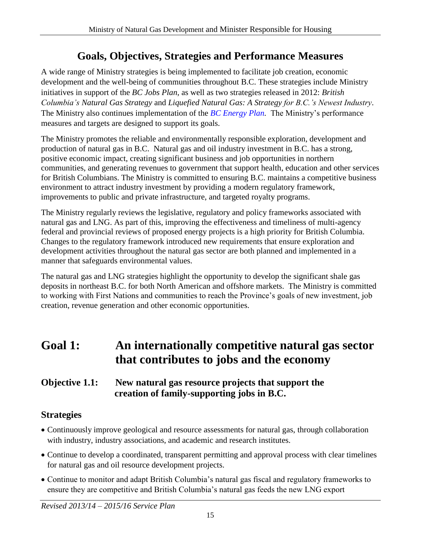## **Goals, Objectives, Strategies and Performance Measures**

<span id="page-14-0"></span>A wide range of Ministry strategies is being implemented to facilitate job creation, economic development and the well-being of communities throughout B.C. These strategies include Ministry initiatives in support of the *BC Jobs Plan*, as well as two strategies released in 2012: *British Columbia's Natural Gas Strategy* and *Liquefied Natural Gas: A Strategy for B.C.'s Newest Industry*. The Ministry also continues implementation of the *[BC Energy Plan.](http://www.energyplan.gov.bc.ca/)* The Ministry's performance measures and targets are designed to support its goals.

The Ministry promotes the reliable and environmentally responsible exploration, development and production of natural gas in B.C. Natural gas and oil industry investment in B.C. has a strong, positive economic impact, creating significant business and job opportunities in northern communities, and generating revenues to government that support health, education and other services for British Columbians. The Ministry is committed to ensuring B.C. maintains a competitive business environment to attract industry investment by providing a modern regulatory framework, improvements to public and private infrastructure, and targeted royalty programs.

The Ministry regularly reviews the legislative, regulatory and policy frameworks associated with natural gas and LNG. As part of this, improving the effectiveness and timeliness of multi-agency federal and provincial reviews of proposed energy projects is a high priority for British Columbia. Changes to the regulatory framework introduced new requirements that ensure exploration and development activities throughout the natural gas sector are both planned and implemented in a manner that safeguards environmental values.

The natural gas and LNG strategies highlight the opportunity to develop the significant shale gas deposits in northeast B.C. for both North American and offshore markets. The Ministry is committed to working with First Nations and communities to reach the Province's goals of new investment, job creation, revenue generation and other economic opportunities.

# **Goal 1: An internationally competitive natural gas sector that contributes to jobs and the economy**

#### **Objective 1.1: New natural gas resource projects that support the creation of family-supporting jobs in B.C.**

## **Strategies**

- Continuously improve geological and resource assessments for natural gas, through collaboration with industry, industry associations, and academic and research institutes.
- Continue to develop a coordinated, transparent permitting and approval process with clear timelines for natural gas and oil resource development projects.
- Continue to monitor and adapt British Columbia's natural gas fiscal and regulatory frameworks to ensure they are competitive and British Columbia's natural gas feeds the new LNG export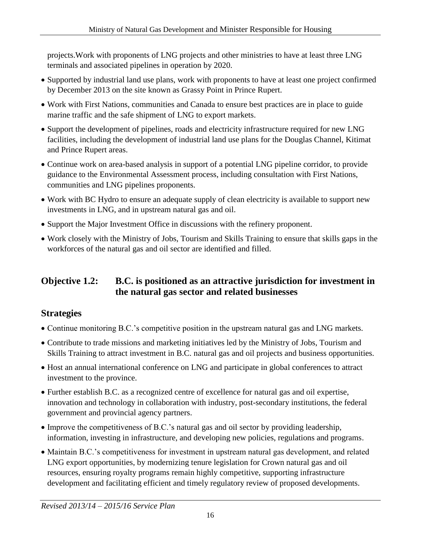projects.Work with proponents of LNG projects and other ministries to have at least three LNG terminals and associated pipelines in operation by 2020.

- Supported by industrial land use plans, work with proponents to have at least one project confirmed by December 2013 on the site known as Grassy Point in Prince Rupert.
- Work with First Nations, communities and Canada to ensure best practices are in place to guide marine traffic and the safe shipment of LNG to export markets.
- Support the development of pipelines, roads and electricity infrastructure required for new LNG facilities, including the development of industrial land use plans for the Douglas Channel, Kitimat and Prince Rupert areas.
- Continue work on area-based analysis in support of a potential LNG pipeline corridor, to provide guidance to the Environmental Assessment process, including consultation with First Nations, communities and LNG pipelines proponents.
- Work with BC Hydro to ensure an adequate supply of clean electricity is available to support new investments in LNG, and in upstream natural gas and oil.
- Support the Major Investment Office in discussions with the refinery proponent.
- Work closely with the Ministry of Jobs, Tourism and Skills Training to ensure that skills gaps in the workforces of the natural gas and oil sector are identified and filled.

## **Objective 1.2: B.C. is positioned as an attractive jurisdiction for investment in the natural gas sector and related businesses**

## **Strategies**

- Continue monitoring B.C.'s competitive position in the upstream natural gas and LNG markets.
- Contribute to trade missions and marketing initiatives led by the Ministry of Jobs, Tourism and Skills Training to attract investment in B.C. natural gas and oil projects and business opportunities.
- Host an annual international conference on LNG and participate in global conferences to attract investment to the province.
- Further establish B.C. as a recognized centre of excellence for natural gas and oil expertise, innovation and technology in collaboration with industry, post-secondary institutions, the federal government and provincial agency partners.
- Improve the competitiveness of B.C.'s natural gas and oil sector by providing leadership, information, investing in infrastructure, and developing new policies, regulations and programs.
- Maintain B.C.'s competitiveness for investment in upstream natural gas development, and related LNG export opportunities, by modernizing tenure legislation for Crown natural gas and oil resources, ensuring royalty programs remain highly competitive, supporting infrastructure development and facilitating efficient and timely regulatory review of proposed developments.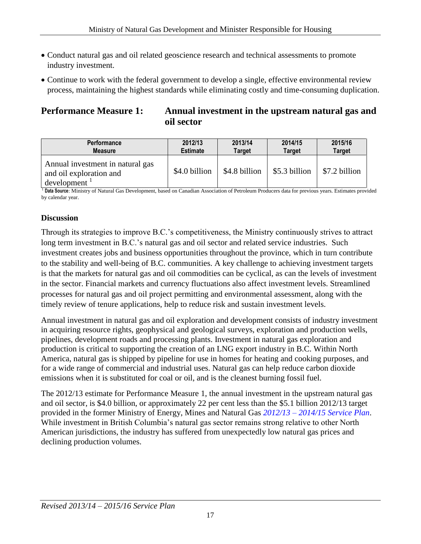- Conduct natural gas and oil related geoscience research and technical assessments to promote industry investment.
- Continue to work with the federal government to develop a single, effective environmental review process, maintaining the highest standards while eliminating costly and time-consuming duplication.

#### **Performance Measure 1:** Annual investment in the upstream natural gas and  **oil sector**

| <b>Performance</b>                                                                                         | 2012/13         | 2013/14       | 2014/15       | 2015/16       |
|------------------------------------------------------------------------------------------------------------|-----------------|---------------|---------------|---------------|
| <b>Measure</b>                                                                                             | <b>Estimate</b> | Target        | <b>Target</b> | <b>Target</b> |
| Annual investment in natural gas<br>and oil exploration and<br>$development$ <sup><math>\perp</math></sup> | \$4.0 billion   | \$4.8 billion | \$5.3 billion | \$7.2 billion |

<sup>1</sup> **Data Source**: Ministry of Natural Gas Development, based on Canadian Association of Petroleum Producers data for previous years. Estimates provided by calendar year.

#### **Discussion**

Through its strategies to improve B.C.'s competitiveness, the Ministry continuously strives to attract long term investment in B.C.'s natural gas and oil sector and related service industries. Such investment creates jobs and business opportunities throughout the province, which in turn contribute to the stability and well-being of B.C. communities. A key challenge to achieving investment targets is that the markets for natural gas and oil commodities can be cyclical, as can the levels of investment in the sector. Financial markets and currency fluctuations also affect investment levels. Streamlined processes for natural gas and oil project permitting and environmental assessment, along with the timely review of tenure applications, help to reduce risk and sustain investment levels.

Annual investment in natural gas and oil exploration and development consists of industry investment in acquiring resource rights, geophysical and geological surveys, exploration and production wells, pipelines, development roads and processing plants. Investment in natural gas exploration and production is critical to supporting the creation of an LNG export industry in B.C. Within North America, natural gas is shipped by pipeline for use in homes for heating and cooking purposes, and for a wide range of commercial and industrial uses. Natural gas can help reduce carbon dioxide emissions when it is substituted for coal or oil, and is the cleanest burning fossil fuel.

The 2012/13 estimate for Performance Measure 1, the annual investment in the upstream natural gas and oil sector, is \$4.0 billion, or approximately 22 per cent less than the \$5.1 billion 2012/13 target provided in the former Ministry of Energy, Mines and Natural Gas *2012/13 – [2014/15 Service Plan](http://www.bcbudget.gov.bc.ca/2012/sp/pdf/ministry/mem.pdf)*. While investment in British Columbia's natural gas sector remains strong relative to other North American jurisdictions, the industry has suffered from unexpectedly low natural gas prices and declining production volumes.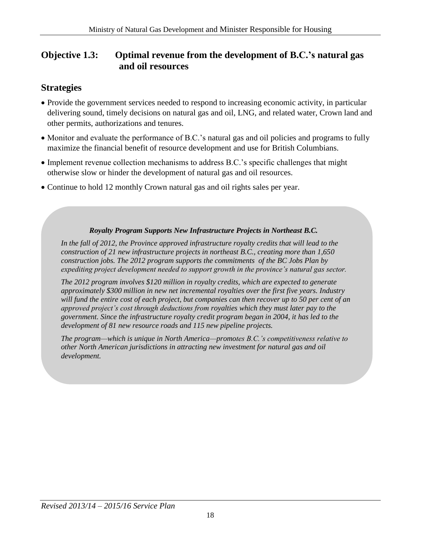#### **Objective 1.3: Optimal revenue from the development of B.C.'s natural gas and oil resources**

#### **Strategies**

- Provide the government services needed to respond to increasing economic activity, in particular delivering sound, timely decisions on natural gas and oil, LNG, and related water, Crown land and other permits, authorizations and tenures.
- Monitor and evaluate the performance of B.C.'s natural gas and oil policies and programs to fully maximize the financial benefit of resource development and use for British Columbians.
- Implement revenue collection mechanisms to address B.C.'s specific challenges that might otherwise slow or hinder the development of natural gas and oil resources.
- Continue to hold 12 monthly Crown natural gas and oil rights sales per year.

#### *Royalty Program Supports New Infrastructure Projects in Northeast B.C.*

*In the fall of 2012, the Province approved infrastructure royalty credits that will lead to the construction of 21 new infrastructure projects in northeast B.C., creating more than 1,650 construction jobs. The 2012 program supports the commitments of the BC Jobs Plan by expediting project development needed to support growth in the province's natural gas sector.*

*The 2012 program involves \$120 million in royalty credits, which are expected to generate approximately \$300 million in new net incremental royalties over the first five years. Industry will fund the entire cost of each project, but companies can then recover up to 50 per cent of an approved project's cost through deductions from royalties which they must later pay to the government. Since the infrastructure royalty credit program began in 2004, it has led to the development of 81 new resource roads and 115 new pipeline projects.* 

*The program—which is unique in North America—promotes B.C.'s competitiveness relative to other North American jurisdictions in attracting new investment for natural gas and oil development.*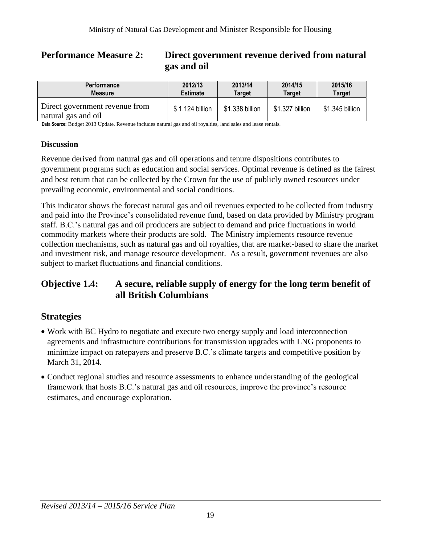#### **Performance Measure 2: Direct government revenue derived from natural gas and oil**

| <b>Performance</b>                                    | 2012/13         | 2013/14         | 2014/15         | 2015/16         |
|-------------------------------------------------------|-----------------|-----------------|-----------------|-----------------|
| <b>Measure</b>                                        | <b>Estimate</b> | Target          | Target          | <b>Target</b>   |
| Direct government revenue from<br>natural gas and oil | \$1.124 billion | \$1.338 billion | \$1.327 billion | \$1.345 billion |

**Data Source:** Budget 2013 Update. Revenue includes natural gas and oil royalties, land sales and lease rentals.

#### **Discussion**

Revenue derived from natural gas and oil operations and tenure dispositions contributes to government programs such as education and social services. Optimal revenue is defined as the fairest and best return that can be collected by the Crown for the use of publicly owned resources under prevailing economic, environmental and social conditions.

This indicator shows the forecast natural gas and oil revenues expected to be collected from industry and paid into the Province's consolidated revenue fund, based on data provided by Ministry program staff. B.C.'s natural gas and oil producers are subject to demand and price fluctuations in world commodity markets where their products are sold. The Ministry implements resource revenue collection mechanisms, such as natural gas and oil royalties, that are market-based to share the market and investment risk, and manage resource development. As a result, government revenues are also subject to market fluctuations and financial conditions.

#### **Objective 1.4: A secure, reliable supply of energy for the long term benefit of all British Columbians**

#### **Strategies**

- Work with BC Hydro to negotiate and execute two energy supply and load interconnection agreements and infrastructure contributions for transmission upgrades with LNG proponents to minimize impact on ratepayers and preserve B.C.'s climate targets and competitive position by March 31, 2014.
- Conduct regional studies and resource assessments to enhance understanding of the geological framework that hosts B.C.'s natural gas and oil resources, improve the province's resource estimates, and encourage exploration.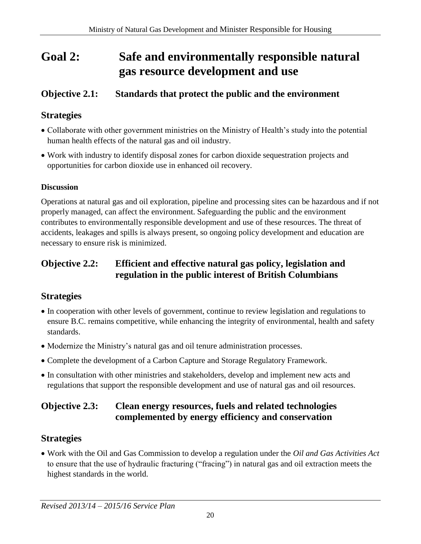# **Goal 2: Safe and environmentally responsible natural gas resource development and use**

## **Objective 2.1: Standards that protect the public and the environment**

#### **Strategies**

- Collaborate with other government ministries on the Ministry of Health's study into the potential human health effects of the natural gas and oil industry.
- Work with industry to identify disposal zones for carbon dioxide sequestration projects and opportunities for carbon dioxide use in enhanced oil recovery.

#### **Discussion**

Operations at natural gas and oil exploration, pipeline and processing sites can be hazardous and if not properly managed, can affect the environment. Safeguarding the public and the environment contributes to environmentally responsible development and use of these resources. The threat of accidents, leakages and spills is always present, so ongoing policy development and education are necessary to ensure risk is minimized.

#### **Objective 2.2: Efficient and effective natural gas policy, legislation and regulation in the public interest of British Columbians**

## **Strategies**

- In cooperation with other levels of government, continue to review legislation and regulations to ensure B.C. remains competitive, while enhancing the integrity of environmental, health and safety standards.
- Modernize the Ministry's natural gas and oil tenure administration processes.
- Complete the development of a Carbon Capture and Storage Regulatory Framework.
- In consultation with other ministries and stakeholders, develop and implement new acts and regulations that support the responsible development and use of natural gas and oil resources.

### **Objective 2.3: Clean energy resources, fuels and related technologies complemented by energy efficiency and conservation**

## **Strategies**

 Work with the Oil and Gas Commission to develop a regulation under the *Oil and Gas Activities Act* to ensure that the use of hydraulic fracturing ("fracing") in natural gas and oil extraction meets the highest standards in the world.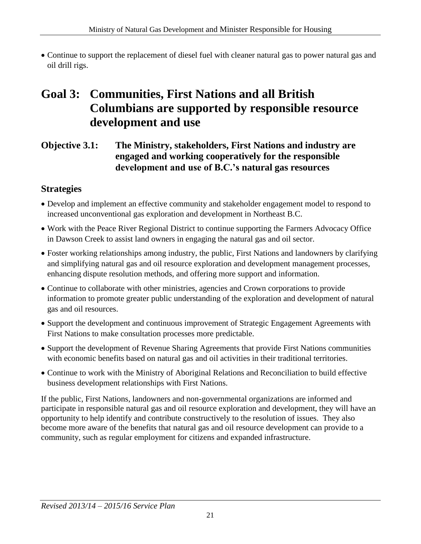Continue to support the replacement of diesel fuel with cleaner natural gas to power natural gas and oil drill rigs.

# **Goal 3: Communities, First Nations and all British Columbians are supported by responsible resource development and use**

**Objective 3.1: The Ministry, stakeholders, First Nations and industry are engaged and working cooperatively for the responsible development and use of B.C.'s natural gas resources** 

### **Strategies**

- Develop and implement an effective community and stakeholder engagement model to respond to increased unconventional gas exploration and development in Northeast B.C.
- Work with the Peace River Regional District to continue supporting the Farmers Advocacy Office in Dawson Creek to assist land owners in engaging the natural gas and oil sector.
- Foster working relationships among industry, the public, First Nations and landowners by clarifying and simplifying natural gas and oil resource exploration and development management processes, enhancing dispute resolution methods, and offering more support and information.
- Continue to collaborate with other ministries, agencies and Crown corporations to provide information to promote greater public understanding of the exploration and development of natural gas and oil resources.
- Support the development and continuous improvement of Strategic Engagement Agreements with First Nations to make consultation processes more predictable.
- Support the development of Revenue Sharing Agreements that provide First Nations communities with economic benefits based on natural gas and oil activities in their traditional territories.
- Continue to work with the Ministry of Aboriginal Relations and Reconciliation to build effective business development relationships with First Nations.

If the public, First Nations, landowners and non-governmental organizations are informed and participate in responsible natural gas and oil resource exploration and development, they will have an opportunity to help identify and contribute constructively to the resolution of issues. They also become more aware of the benefits that natural gas and oil resource development can provide to a community, such as regular employment for citizens and expanded infrastructure.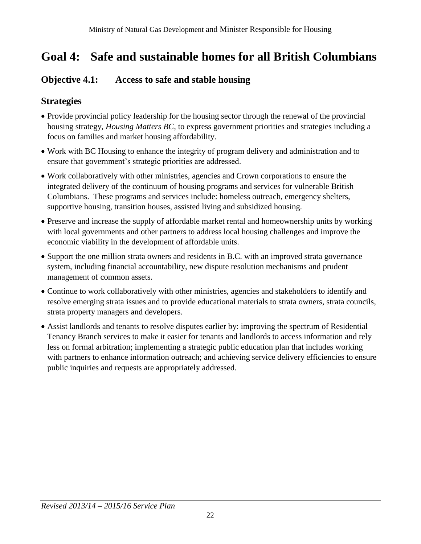# **Goal 4: Safe and sustainable homes for all British Columbians**

## **Objective 4.1: Access to safe and stable housing**

## **Strategies**

- Provide provincial policy leadership for the housing sector through the renewal of the provincial housing strategy, *Housing Matters BC,* to express government priorities and strategies including a focus on families and market housing affordability.
- Work with BC Housing to enhance the integrity of program delivery and administration and to ensure that government's strategic priorities are addressed.
- Work collaboratively with other ministries, agencies and Crown corporations to ensure the integrated delivery of the continuum of housing programs and services for vulnerable British Columbians. These programs and services include: homeless outreach, emergency shelters, supportive housing, transition houses, assisted living and subsidized housing.
- Preserve and increase the supply of affordable market rental and homeownership units by working with local governments and other partners to address local housing challenges and improve the economic viability in the development of affordable units.
- Support the one million strata owners and residents in B.C. with an improved strata governance system, including financial accountability, new dispute resolution mechanisms and prudent management of common assets.
- Continue to work collaboratively with other ministries, agencies and stakeholders to identify and resolve emerging strata issues and to provide educational materials to strata owners, strata councils, strata property managers and developers.
- Assist landlords and tenants to resolve disputes earlier by: improving the spectrum of Residential Tenancy Branch services to make it easier for tenants and landlords to access information and rely less on formal arbitration; implementing a strategic public education plan that includes working with partners to enhance information outreach; and achieving service delivery efficiencies to ensure public inquiries and requests are appropriately addressed.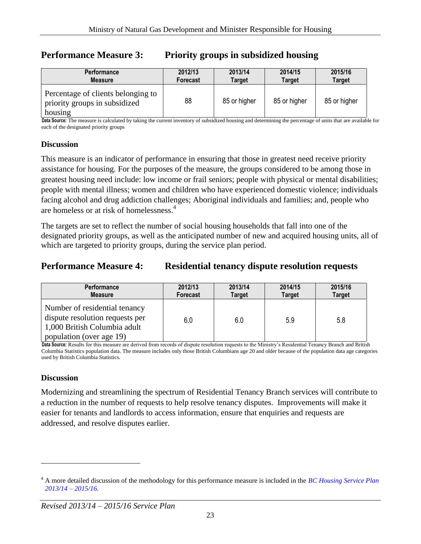| <b>Performance</b>                                                             | 2012/13  | 2013/14       | 2014/15       | 2015/16       |
|--------------------------------------------------------------------------------|----------|---------------|---------------|---------------|
| <b>Measure</b>                                                                 | Forecast | <b>Target</b> | <b>Target</b> | <b>Target</b> |
| Percentage of clients belonging to<br>priority groups in subsidized<br>housing | 88       | 85 or higher  | 85 or higher  | 85 or higher  |

#### **Performance Measure 3: Priority groups in subsidized housing**

**Data Source:** The measure is calculated by taking the current inventory of subsidized housing and determining the percentage of units that are available for each of the designated priority groups

#### **Discussion**

This measure is an indicator of performance in ensuring that those in greatest need receive priority assistance for housing. For the purposes of the measure, the groups considered to be among those in greatest housing need include: low income or frail seniors; people with physical or mental disabilities; people with mental illness; women and children who have experienced domestic violence; individuals facing alcohol and drug addiction challenges; Aboriginal individuals and families; and, people who are homeless or at risk of homelessness.<sup>4</sup>

The targets are set to reflect the number of social housing households that fall into one of the designated priority groups, as well as the anticipated number of new and acquired housing units, all of which are targeted to priority groups, during the service plan period.

#### **Performance Measure 4: Residential tenancy dispute resolution requests**

| <b>Performance</b>                                                                                                           | 2012/13         | 2013/14       | 2014/15       | 2015/16       |
|------------------------------------------------------------------------------------------------------------------------------|-----------------|---------------|---------------|---------------|
| <b>Measure</b>                                                                                                               | <b>Forecast</b> | <b>Target</b> | <b>Target</b> | <b>Target</b> |
| Number of residential tenancy<br>dispute resolution requests per<br>1,000 British Columbia adult<br>population (over age 19) | 6.0             | 6.0           | 5.9           | 5.8           |

**Data Source:** Results for this measure are derived from records of dispute resolution requests to the Ministry's Residential Tenancy Branch and British Columbia Statistics population data. The measure includes only those British Columbians age 20 and older because of the population data age categories used by British Columbia Statistics.

#### **Discussion**

 $\overline{a}$ 

Modernizing and streamlining the spectrum of Residential Tenancy Branch services will contribute to a reduction in the number of requests to help resolve tenancy disputes. Improvements will make it easier for tenants and landlords to access information, ensure that enquiries and requests are addressed, and resolve disputes earlier.

<sup>4</sup> A more detailed discussion of the methodology for this performance measure is included in the *[BC Housing Service Plan](http://www.bchousing.org/resources/About%20BC%20Housing/Service_Plans/2012-15_Service_Plan.pdf)  [2013/14 – 2015/16.](http://www.bchousing.org/resources/About%20BC%20Housing/Service_Plans/2012-15_Service_Plan.pdf)*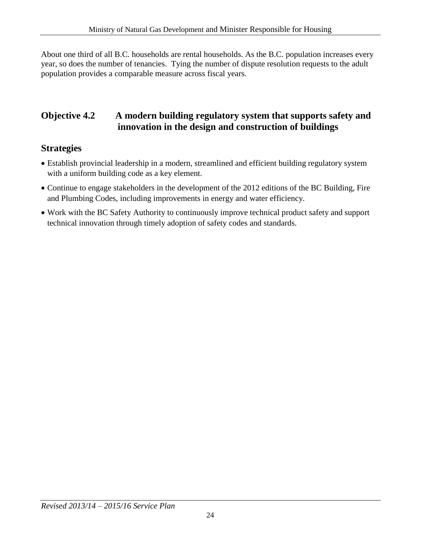About one third of all B.C. households are rental households. As the B.C. population increases every year, so does the number of tenancies. Tying the number of dispute resolution requests to the adult population provides a comparable measure across fiscal years.

#### **Objective 4.2 A modern building regulatory system that supports safety and innovation in the design and construction of buildings**

### **Strategies**

- Establish provincial leadership in a modern, streamlined and efficient building regulatory system with a uniform building code as a key element.
- Continue to engage stakeholders in the development of the 2012 editions of the BC Building, Fire and Plumbing Codes, including improvements in energy and water efficiency.
- Work with the BC Safety Authority to continuously improve technical product safety and support technical innovation through timely adoption of safety codes and standards.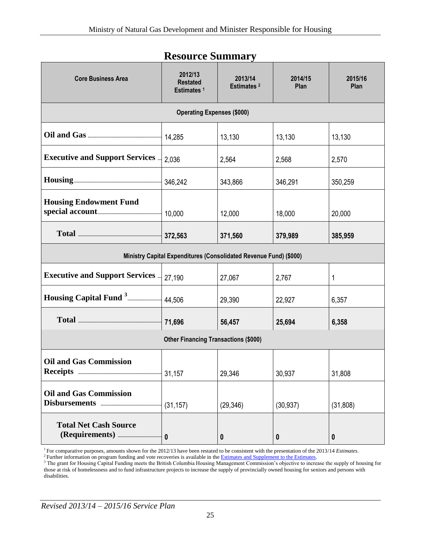<span id="page-24-0"></span>

| <b>Core Business Area</b>                                         | 2012/13<br><b>Restated</b><br>Estimates <sup>1</sup> | 2013/14<br>Estimates <sup>2</sup> | 2014/15<br>Plan | 2015/16<br>Plan  |  |
|-------------------------------------------------------------------|------------------------------------------------------|-----------------------------------|-----------------|------------------|--|
| <b>Operating Expenses (\$000)</b>                                 |                                                      |                                   |                 |                  |  |
|                                                                   | 14,285                                               | 13,130                            | 13,130          | 13,130           |  |
| <b>Executive and Support Services </b>                            | 2,036                                                | 2,564                             | 2,568           | 2,570            |  |
|                                                                   | 346,242                                              | 343,866                           | 346,291         | 350,259          |  |
| <b>Housing Endowment Fund</b>                                     |                                                      | 12,000                            | 18,000          | 20,000           |  |
|                                                                   | 372,563                                              | 371,560                           | 379,989         | 385,959          |  |
| Ministry Capital Expenditures (Consolidated Revenue Fund) (\$000) |                                                      |                                   |                 |                  |  |
| <b>Executive and Support Services </b>                            | 27,190                                               | 27,067                            | 2,767           | 1                |  |
| Housing Capital Fund <sup>3</sup>                                 | 44,506                                               | 29,390                            | 22,927          | 6,357            |  |
|                                                                   | 71,696                                               | 56,457                            | 25,694          | 6,358            |  |
| <b>Other Financing Transactions (\$000)</b>                       |                                                      |                                   |                 |                  |  |
| <b>Oil and Gas Commission</b>                                     |                                                      | 29,346                            | 30,937          | 31,808           |  |
| <b>Oil and Gas Commission</b>                                     | (31, 157)                                            | (29, 346)                         | (30, 937)       | (31, 808)        |  |
| <b>Total Net Cash Source</b>                                      | $\mathbf{0}$                                         | $\boldsymbol{0}$                  | 0               | $\boldsymbol{0}$ |  |

## **Resource Summary**

<sup>1</sup>For comparative purposes, amounts shown for the 2012/13 have been restated to be consistent with the presentation of the 2013/14 *Estimates*. <sup>2</sup> Further information on program funding and vote recoveries is available in th[e Estimates and Supplement to the Estimates.](http://www.bcbudget.gov.bc.ca/)

<sup>3</sup> The grant for Housing Capital Funding meets the British Columbia Housing Management Commission's objective to increase the supply of housing for those at risk of homelessness and to fund infrastructure projects to increase the supply of provincially owned housing for seniors and persons with disabilities.